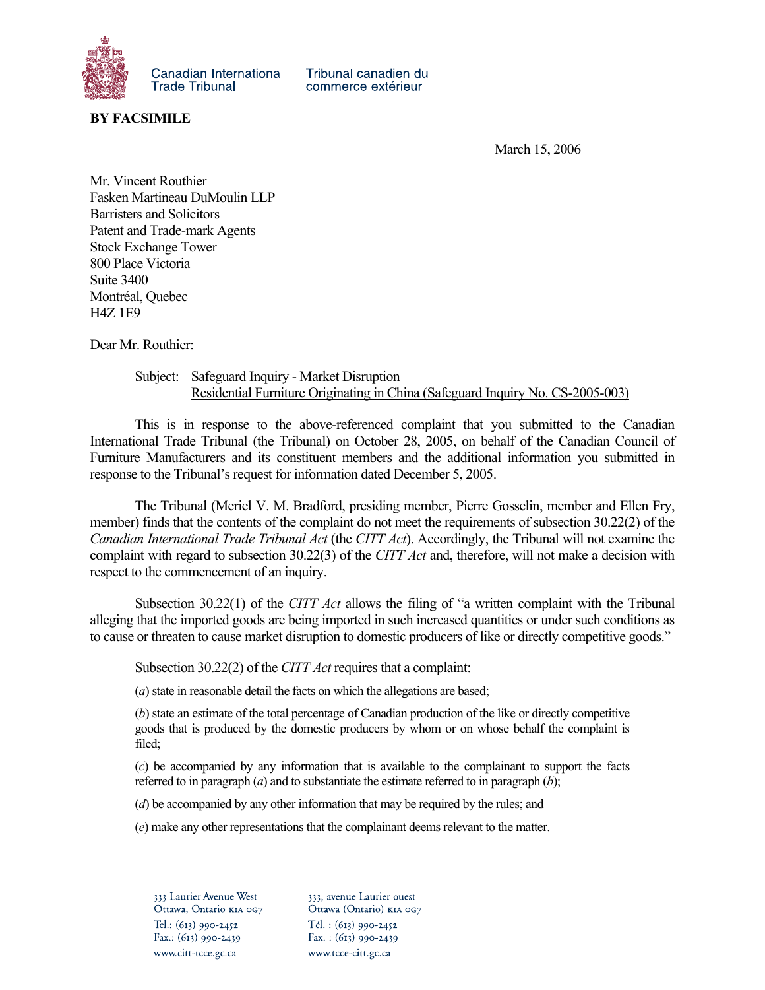

Tribunal canadien du commerce extérieur

**BY FACSIMILE** 

March 15, 2006

Mr. Vincent Routhier Fasken Martineau DuMoulin LLP Barristers and Solicitors Patent and Trade-mark Agents Stock Exchange Tower 800 Place Victoria Suite 3400 Montréal, Quebec H4Z 1E9

Dear Mr. Routhier:

## Subject: Safeguard Inquiry - Market Disruption Residential Furniture Originating in China (Safeguard Inquiry No. CS-2005-003)

This is in response to the above-referenced complaint that you submitted to the Canadian International Trade Tribunal (the Tribunal) on October 28, 2005, on behalf of the Canadian Council of Furniture Manufacturers and its constituent members and the additional information you submitted in response to the Tribunal's request for information dated December 5, 2005.

The Tribunal (Meriel V. M. Bradford, presiding member, Pierre Gosselin, member and Ellen Fry, member) finds that the contents of the complaint do not meet the requirements of subsection 30.22(2) of the *Canadian International Trade Tribunal Act* (the *CITT Act*). Accordingly, the Tribunal will not examine the complaint with regard to subsection 30.22(3) of the *CITT Act* and, therefore, will not make a decision with respect to the commencement of an inquiry.

Subsection 30.22(1) of the *CITT Act* allows the filing of "a written complaint with the Tribunal alleging that the imported goods are being imported in such increased quantities or under such conditions as to cause or threaten to cause market disruption to domestic producers of like or directly competitive goods."

Subsection 30.22(2) of the *CITT Act* requires that a complaint:

(*a*) state in reasonable detail the facts on which the allegations are based;

(*b*) state an estimate of the total percentage of Canadian production of the like or directly competitive goods that is produced by the domestic producers by whom or on whose behalf the complaint is filed;

(*c*) be accompanied by any information that is available to the complainant to support the facts referred to in paragraph (*a*) and to substantiate the estimate referred to in paragraph (*b*);

(*d*) be accompanied by any other information that may be required by the rules; and

(*e*) make any other representations that the complainant deems relevant to the matter.

333 Laurier Avenue West Ottawa, Ontario KIA 0G7 Tel.: (613) 990-2452 Fax.: (613) 990-2439 www.citt-tcce.gc.ca

333, avenue Laurier ouest Ottawa (Ontario) KIA 0G7  $Tél. : (613) 990-2452$ Fax.:  $(613)$  990-2439 www.tcce-citt.gc.ca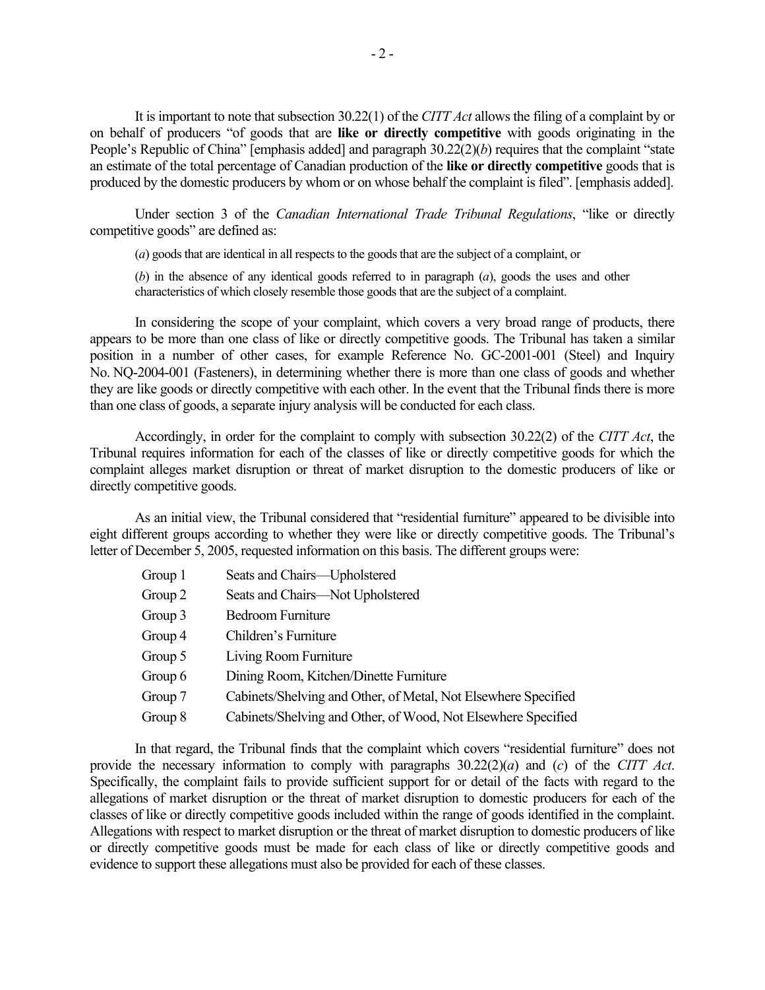It is important to note that subsection 30.22(1) of the *CITT Act* allows the filing of a complaint by or on behalf of producers "of goods that are **like or directly competitive** with goods originating in the People's Republic of China" [emphasis added] and paragraph 30.22(2)(*b*) requires that the complaint "state an estimate of the total percentage of Canadian production of the **like or directly competitive** goods that is produced by the domestic producers by whom or on whose behalf the complaint is filed". [emphasis added].

Under section 3 of the *Canadian International Trade Tribunal Regulations*, "like or directly competitive goods" are defined as:

(*a*) goods that are identical in all respects to the goods that are the subject of a complaint, or

(*b*) in the absence of any identical goods referred to in paragraph (*a*), goods the uses and other characteristics of which closely resemble those goods that are the subject of a complaint.

In considering the scope of your complaint, which covers a very broad range of products, there appears to be more than one class of like or directly competitive goods. The Tribunal has taken a similar position in a number of other cases, for example Reference No. GC-2001-001 (Steel) and Inquiry No. NQ-2004-001 (Fasteners), in determining whether there is more than one class of goods and whether they are like goods or directly competitive with each other. In the event that the Tribunal finds there is more than one class of goods, a separate injury analysis will be conducted for each class.

Accordingly, in order for the complaint to comply with subsection 30.22(2) of the *CITT Act*, the Tribunal requires information for each of the classes of like or directly competitive goods for which the complaint alleges market disruption or threat of market disruption to the domestic producers of like or directly competitive goods.

As an initial view, the Tribunal considered that "residential furniture" appeared to be divisible into eight different groups according to whether they were like or directly competitive goods. The Tribunal's letter of December 5, 2005, requested information on this basis. The different groups were:

- Group 1 Seats and Chairs—Upholstered
- Group 2 Seats and Chairs—Not Upholstered
- Group 3 Bedroom Furniture
- Group 4 Children's Furniture
- Group 5 Living Room Furniture
- Group 6 Dining Room, Kitchen/Dinette Furniture
- Group 7 Cabinets/Shelving and Other, of Metal, Not Elsewhere Specified
- Group 8 Cabinets/Shelving and Other, of Wood, Not Elsewhere Specified

In that regard, the Tribunal finds that the complaint which covers "residential furniture" does not provide the necessary information to comply with paragraphs 30.22(2)(*a*) and (*c*) of the *CITT Act*. Specifically, the complaint fails to provide sufficient support for or detail of the facts with regard to the allegations of market disruption or the threat of market disruption to domestic producers for each of the classes of like or directly competitive goods included within the range of goods identified in the complaint. Allegations with respect to market disruption or the threat of market disruption to domestic producers of like or directly competitive goods must be made for each class of like or directly competitive goods and evidence to support these allegations must also be provided for each of these classes.